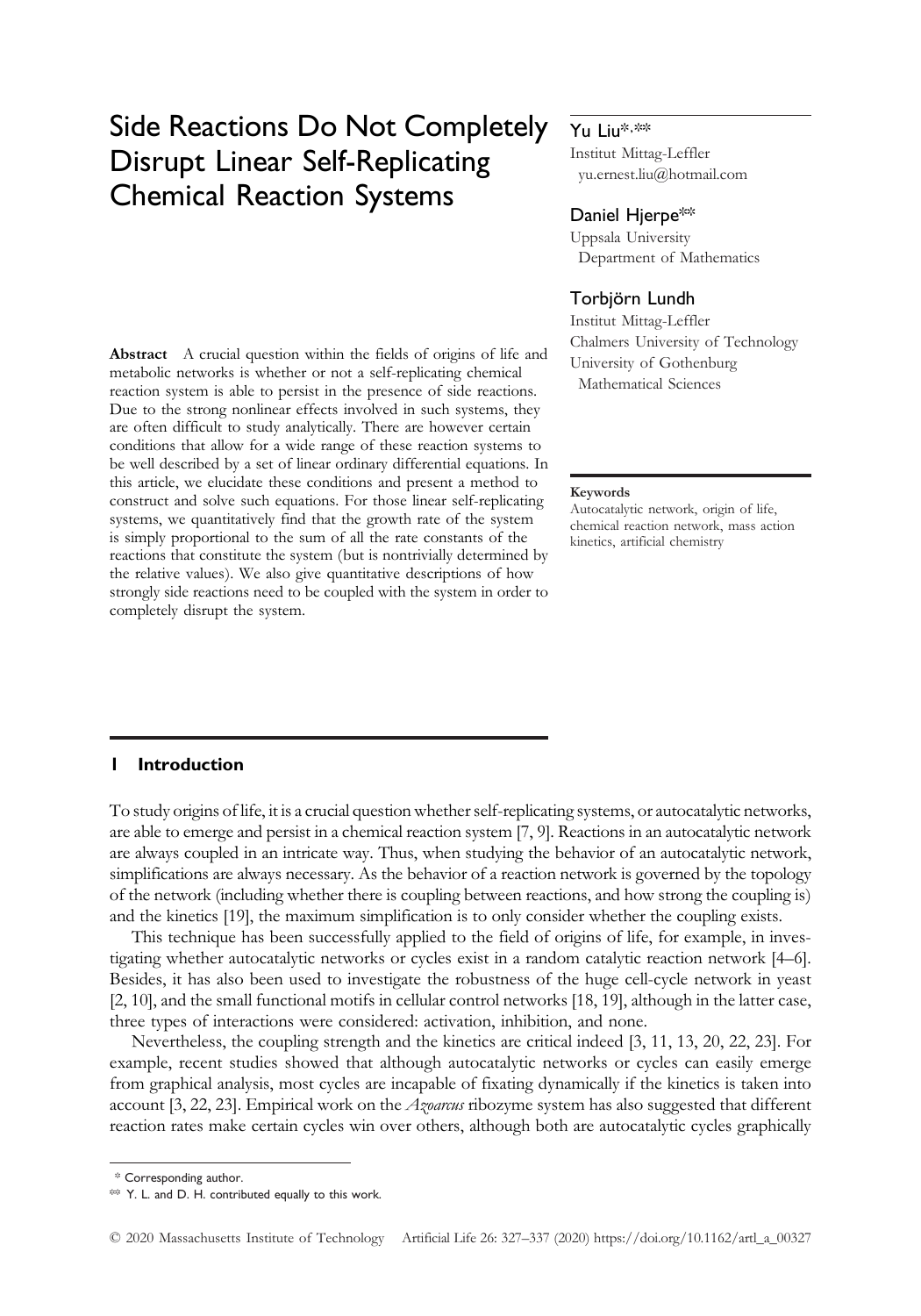# Side Reactions Do Not Completely Disrupt Linear Self-Replicating Chemical Reaction Systems

Abstract A crucial question within the fields of origins of life and metabolic networks is whether or not a self-replicating chemical reaction system is able to persist in the presence of side reactions. Due to the strong nonlinear effects involved in such systems, they are often difficult to study analytically. There are however certain conditions that allow for a wide range of these reaction systems to be well described by a set of linear ordinary differential equations. In this article, we elucidate these conditions and present a method to construct and solve such equations. For those linear self-replicating systems, we quantitatively find that the growth rate of the system is simply proportional to the sum of all the rate constants of the reactions that constitute the system (but is nontrivially determined by the relative values). We also give quantitative descriptions of how strongly side reactions need to be coupled with the system in order to completely disrupt the system.

# Yu Liu\*, \*\*

Institut Mittag-Leffler yu.ernest.liu@hotmail.com

### Daniel Hjerpe<sup>\*\*</sup>

Uppsala University Department of Mathematics

### Torbjörn Lundh

Institut Mittag-Leffler Chalmers University of Technology University of Gothenburg Mathematical Sciences

#### Keywords

Autocatalytic network, origin of life, chemical reaction network, mass action kinetics, artificial chemistry

## **Introduction**

To study origins of life, it is a crucial question whether self-replicating systems, or autocatalytic networks, are able to emerge and persist in a chemical reaction system [7, 9]. Reactions in an autocatalytic network are always coupled in an intricate way. Thus, when studying the behavior of an autocatalytic network, simplifications are always necessary. As the behavior of a reaction network is governed by the topology of the network (including whether there is coupling between reactions, and how strong the coupling is) and the kinetics [19], the maximum simplification is to only consider whether the coupling exists.

This technique has been successfully applied to the field of origins of life, for example, in investigating whether autocatalytic networks or cycles exist in a random catalytic reaction network [4–6]. Besides, it has also been used to investigate the robustness of the huge cell-cycle network in yeast [2, 10], and the small functional motifs in cellular control networks [18, 19], although in the latter case, three types of interactions were considered: activation, inhibition, and none.

Nevertheless, the coupling strength and the kinetics are critical indeed [3, 11, 13, 20, 22, 23]. For example, recent studies showed that although autocatalytic networks or cycles can easily emerge from graphical analysis, most cycles are incapable of fixating dynamically if the kinetics is taken into account [3, 22, 23]. Empirical work on the Azoarcus ribozyme system has also suggested that different reaction rates make certain cycles win over others, although both are autocatalytic cycles graphically

\* Corresponding author.

<sup>\*\*</sup> Y. L. and D. H. contributed equally to this work.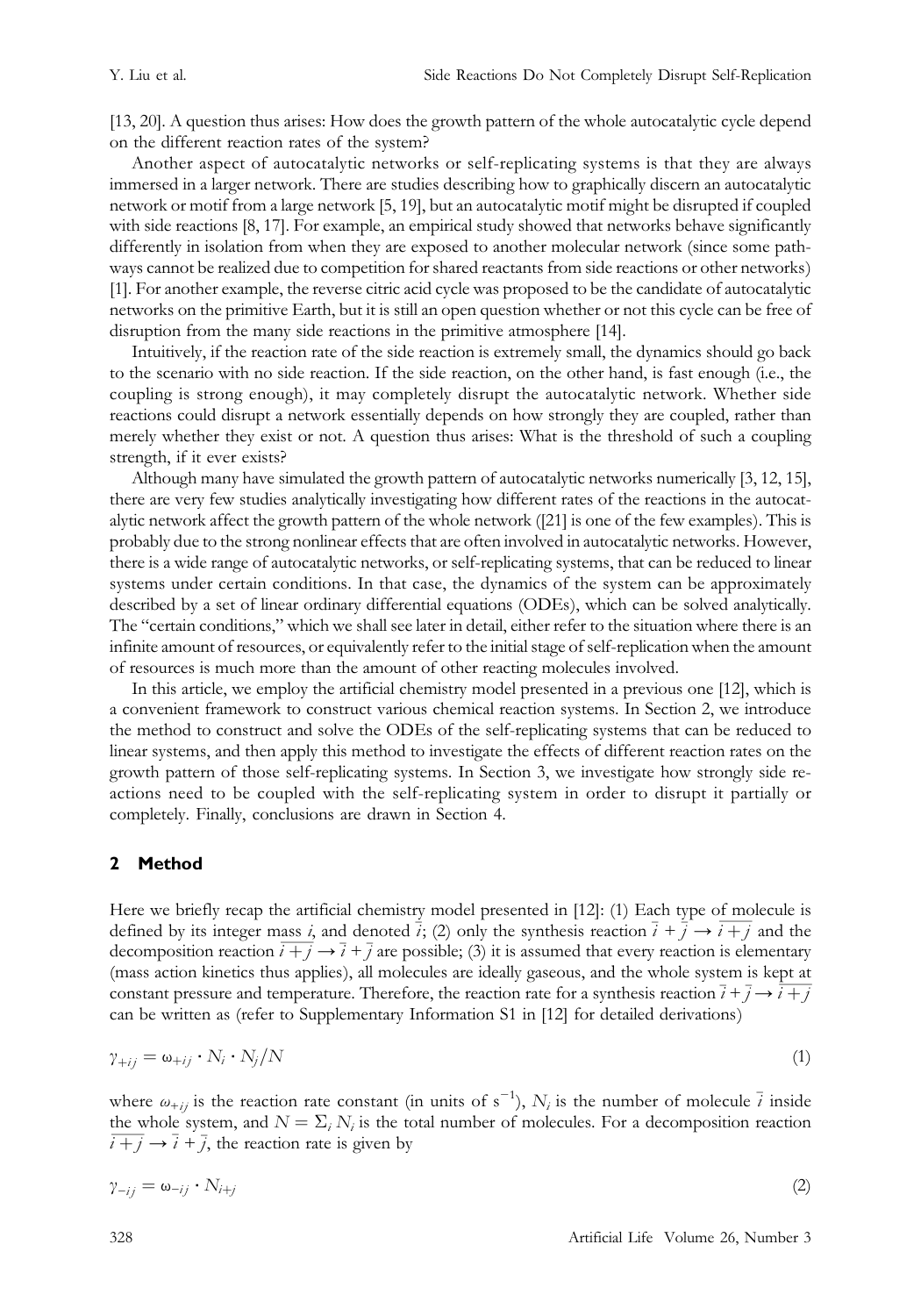[13, 20]. A question thus arises: How does the growth pattern of the whole autocatalytic cycle depend on the different reaction rates of the system?

Another aspect of autocatalytic networks or self-replicating systems is that they are always immersed in a larger network. There are studies describing how to graphically discern an autocatalytic network or motif from a large network [5, 19], but an autocatalytic motif might be disrupted if coupled with side reactions [8, 17]. For example, an empirical study showed that networks behave significantly differently in isolation from when they are exposed to another molecular network (since some pathways cannot be realized due to competition for shared reactants from side reactions or other networks) [1]. For another example, the reverse citric acid cycle was proposed to be the candidate of autocatalytic networks on the primitive Earth, but it is still an open question whether or not this cycle can be free of disruption from the many side reactions in the primitive atmosphere [14].

Intuitively, if the reaction rate of the side reaction is extremely small, the dynamics should go back to the scenario with no side reaction. If the side reaction, on the other hand, is fast enough (i.e., the coupling is strong enough), it may completely disrupt the autocatalytic network. Whether side reactions could disrupt a network essentially depends on how strongly they are coupled, rather than merely whether they exist or not. A question thus arises: What is the threshold of such a coupling strength, if it ever exists?

Although many have simulated the growth pattern of autocatalytic networks numerically [3, 12, 15], there are very few studies analytically investigating how different rates of the reactions in the autocatalytic network affect the growth pattern of the whole network ([21] is one of the few examples). This is probably due to the strong nonlinear effects that are often involved in autocatalytic networks. However, there is a wide range of autocatalytic networks, or self-replicating systems, that can be reduced to linear systems under certain conditions. In that case, the dynamics of the system can be approximately described by a set of linear ordinary differential equations (ODEs), which can be solved analytically. The "certain conditions," which we shall see later in detail, either refer to the situation where there is an infinite amount of resources, or equivalently refer to the initial stage of self-replication when the amount of resources is much more than the amount of other reacting molecules involved.

In this article, we employ the artificial chemistry model presented in a previous one [12], which is a convenient framework to construct various chemical reaction systems. In Section 2, we introduce the method to construct and solve the ODEs of the self-replicating systems that can be reduced to linear systems, and then apply this method to investigate the effects of different reaction rates on the growth pattern of those self-replicating systems. In Section 3, we investigate how strongly side reactions need to be coupled with the self-replicating system in order to disrupt it partially or completely. Finally, conclusions are drawn in Section 4.

## 2 Method

Here we briefly recap the artificial chemistry model presented in [12]: (1) Each type of molecule is Here we briefly recap the artificial chemistry model presented in [12]: (1) Each type of molecule is defined by its integer mass *i*, and denoted  $\overline{i}$ ; (2) only the synthesis reaction  $\overline{i} + \overline{j} \rightarrow \overline{i + j}$  and the dec Here we briefly recap the artificial chemistry model presented in [12]: (1) Each type of molecule is defined by its integer mass *i*, and denoted  $\overline{i}$ ; (2) only the synthesis reaction  $\overline{i} + \overline{j} \rightarrow \overline{i + j}$  and the dec (mass action kinetics thus applies), all molecules are ideally gaseous, and the whole system is kept at defined by its integer mass i, and denoted i; (2) only the synthesis reaction  $i + j \rightarrow i + j$  and the decomposition reaction  $i + j \rightarrow \overline{i} + \overline{j}$  are possible; (3) it is assumed that every reaction is elementary (mass action kin can be written as (refer to Supplementary Information S1 in [12] for detailed derivations)

$$
\gamma_{+ij} = \omega_{+ij} \cdot N_i \cdot N_j / N \tag{1}
$$

where  $\omega_{+ij}$  is the reaction rate constant (in units of s<sup>-1</sup>),  $N_i$  is the number of molecule  $\overline{i}$  inside<br>the whole system, and  $N = \sum_i N_i$  is the total number of molecules. For a decomposition reaction<br> $\overline{i+j} \rightarrow \overline{i}$ 

$$
\gamma_{-ij} = \omega_{-ij} \cdot N_{i+j} \tag{2}
$$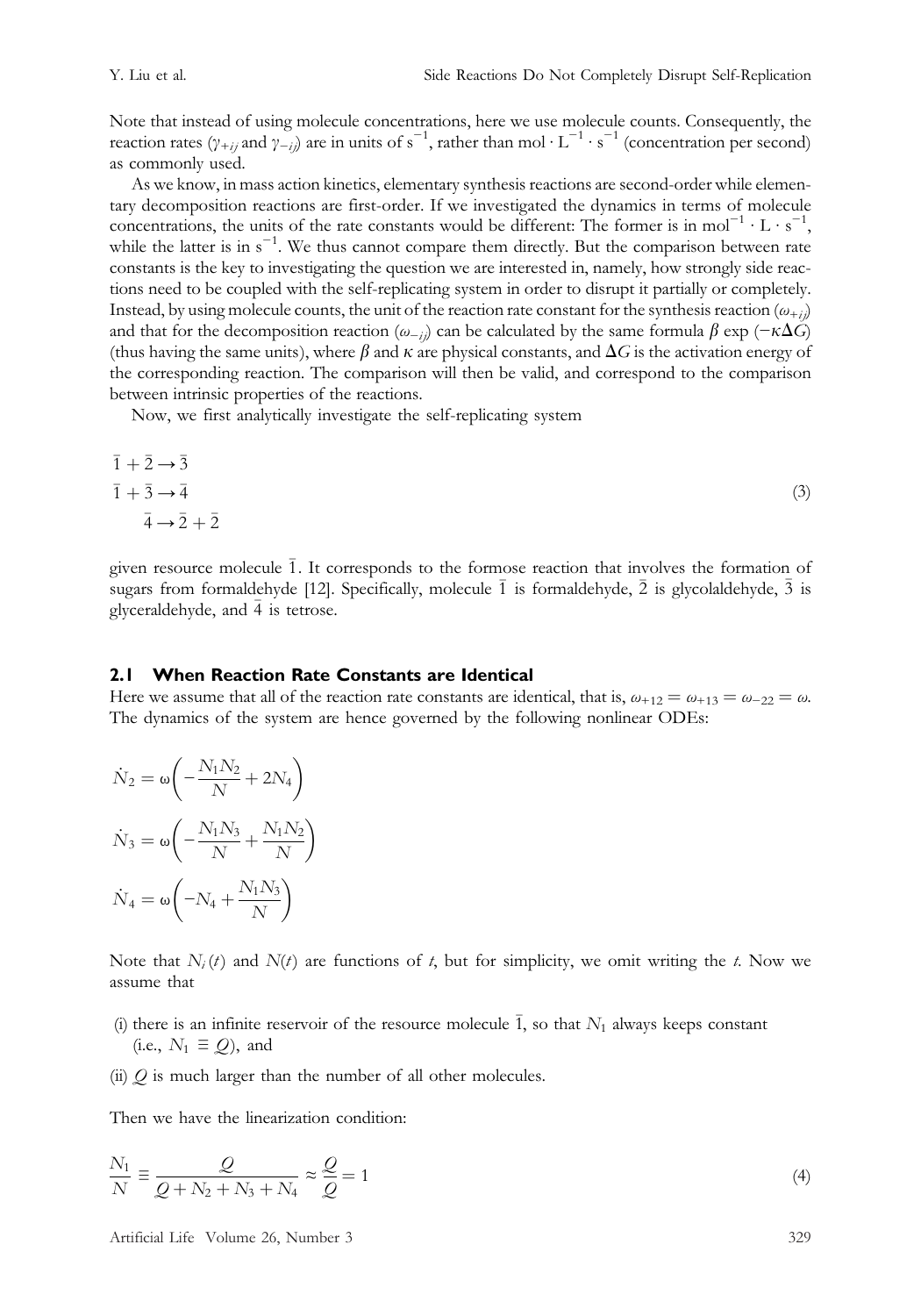Note that instead of using molecule concentrations, here we use molecule counts. Consequently, the reaction rates ( $\gamma_{+ij}$  and  $\gamma_{-ij}$ ) are in units of s<sup>-1</sup>, rather than mol · L<sup>-1</sup> · s<sup>-1</sup> (concentration per second) as commonly used.

As we know, in mass action kinetics, elementary synthesis reactions are second-order while elementary decomposition reactions are first-order. If we investigated the dynamics in terms of molecule concentrations, the units of the rate constants would be different: The former is in mol<sup>-1</sup> · L·s<sup>-1</sup>, while the latter is in s<sup>-1</sup>. We thus cannot compare them directly. But the comparison between rate constants is the key to investigating the question we are interested in, namely, how strongly side reactions need to be coupled with the self-replicating system in order to disrupt it partially or completely. Instead, by using molecule counts, the unit of the reaction rate constant for the synthesis reaction ( $\omega_{+ij}$ ) and that for the decomposition reaction ( $\omega_{-ij}$ ) can be calculated by the same formula  $\beta$  exp (− $\kappa\Delta G$ ) (thus having the same units), where  $\beta$  and  $\kappa$  are physical constants, and  $\Delta G$  is the activation energy of the corresponding reaction. The comparison will then be valid, and correspond to the comparison between intrinsic properties of the reactions.

Now, we first analytically investigate the self-replicating system

$$
\overline{1} + \overline{2} \rightarrow \overline{3}
$$
  
\n
$$
\overline{1} + \overline{3} \rightarrow \overline{4}
$$
  
\n
$$
\overline{4} \rightarrow \overline{2} + \overline{2}
$$
\n(3)

given resource molecule  $\overline{1}$ . It corresponds to the formose reaction that involves the formation of sugars from formaldehyde [12]. Specifically, molecule  $\overline{1}$  is formaldehyde,  $\overline{2}$  is glycolaldehyde,  $\overline{3}$  is glyceraldehyde, and  $\overline{4}$  is tetrose.

#### 2.1 When Reaction Rate Constants are Identical

Here we assume that all of the reaction rate constants are identical, that is,  $\omega_{+12} = \omega_{+13} = \omega_{-22} = \omega$ . The dynamics of the system are hence governed by the following nonlinear ODEs:

$$
\dot{N}_2 = \omega \left( -\frac{N_1 N_2}{N} + 2N_4 \right)
$$
\n
$$
\dot{N}_3 = \omega \left( -\frac{N_1 N_3}{N} + \frac{N_1 N_2}{N} \right)
$$
\n
$$
\dot{N}_4 = \omega \left( -N_4 + \frac{N_1 N_3}{N} \right)
$$

Note that  $N_i(t)$  and  $N(t)$  are functions of t, but for simplicity, we omit writing the t. Now we assume that

- (i) there is an infinite reservoir of the resource molecule  $\overline{1}$ , so that  $N_1$  always keeps constant (i.e.,  $N_1 \equiv \mathcal{Q}$ ), and
- (ii)  $Q$  is much larger than the number of all other molecules.

Then we have the linearization condition:

$$
\frac{N_1}{N} \equiv \frac{Q}{Q + N_2 + N_3 + N_4} \approx \frac{Q}{Q} = 1\tag{4}
$$

Artificial Life Volume 26, Number 3 329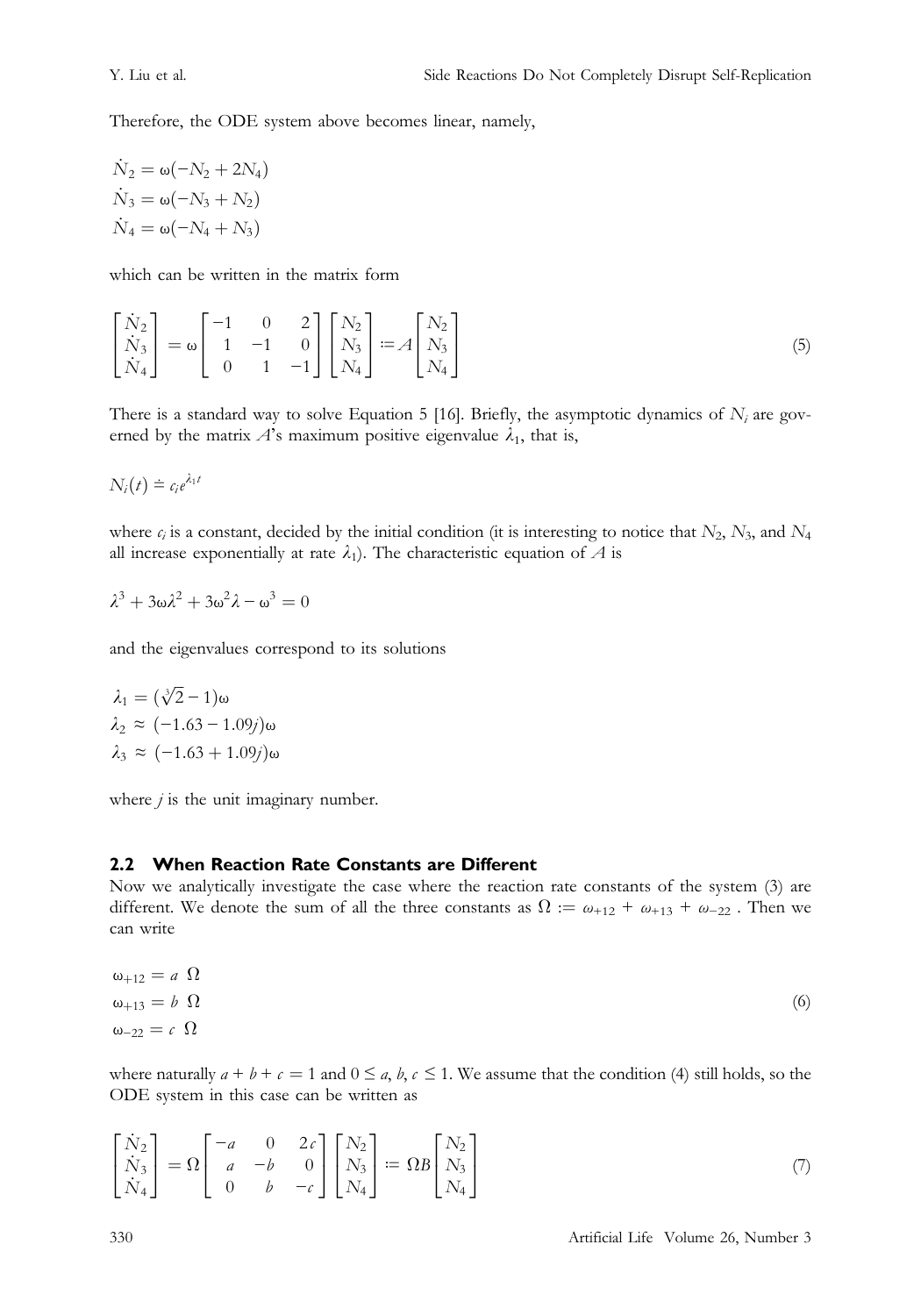Therefore, the ODE system above becomes linear, namely,

$$
\dot{N}_2 = \omega(-N_2 + 2N_4)
$$
  
\n
$$
\dot{N}_3 = \omega(-N_3 + N_2)
$$
  
\n
$$
\dot{N}_4 = \omega(-N_4 + N_3)
$$

which can be written in the matrix form

$$
\begin{bmatrix} \dot{N}_2 \\ \dot{N}_3 \\ \dot{N}_4 \end{bmatrix} = \omega \begin{bmatrix} -1 & 0 & 2 \\ 1 & -1 & 0 \\ 0 & 1 & -1 \end{bmatrix} \begin{bmatrix} N_2 \\ N_3 \\ N_4 \end{bmatrix} := A \begin{bmatrix} N_2 \\ N_3 \\ N_4 \end{bmatrix}
$$
 (5)

There is a standard way to solve Equation 5 [16]. Briefly, the asymptotic dynamics of  $N_i$  are governed by the matrix  $A$ 's maximum positive eigenvalue  $\lambda_1$ , that is,

$$
N_i(t) \doteq c_i e^{\lambda_1 t}
$$

where  $c_i$  is a constant, decided by the initial condition (it is interesting to notice that  $N_2$ ,  $N_3$ , and  $N_4$ all increase exponentially at rate  $\lambda_1$ ). The characteristic equation of A is

$$
\lambda^3 + 3\omega\lambda^2 + 3\omega^2\lambda - \omega^3 = 0
$$

and the eigenvalues correspond to its solutions

$$
\lambda_1 = (\sqrt[3]{2} - 1)\omega
$$
  
\n
$$
\lambda_2 \approx (-1.63 - 1.09j)\omega
$$
  
\n
$$
\lambda_3 \approx (-1.63 + 1.09j)\omega
$$

where  $j$  is the unit imaginary number.

# 2.2 When Reaction Rate Constants are Different

Now we analytically investigate the case where the reaction rate constants of the system (3) are different. We denote the sum of all the three constants as  $\Omega := \omega_{+12} + \omega_{+13} + \omega_{-22}$ . Then we can write

$$
\begin{aligned}\n\omega_{+12} &= a \ \Omega \\
\omega_{+13} &= b \ \Omega \\
\omega_{-22} &= c \ \Omega\n\end{aligned} \tag{6}
$$

where naturally  $a + b + c = 1$  and  $0 \le a, b, c \le 1$ . We assume that the condition (4) still holds, so the ODE system in this case can be written as

$$
\begin{bmatrix} \dot{N}_2 \\ \dot{N}_3 \\ \dot{N}_4 \end{bmatrix} = \Omega \begin{bmatrix} -a & 0 & 2c \\ a & -b & 0 \\ 0 & b & -c \end{bmatrix} \begin{bmatrix} N_2 \\ N_3 \\ N_4 \end{bmatrix} := \Omega B \begin{bmatrix} N_2 \\ N_3 \\ N_4 \end{bmatrix}
$$
(7)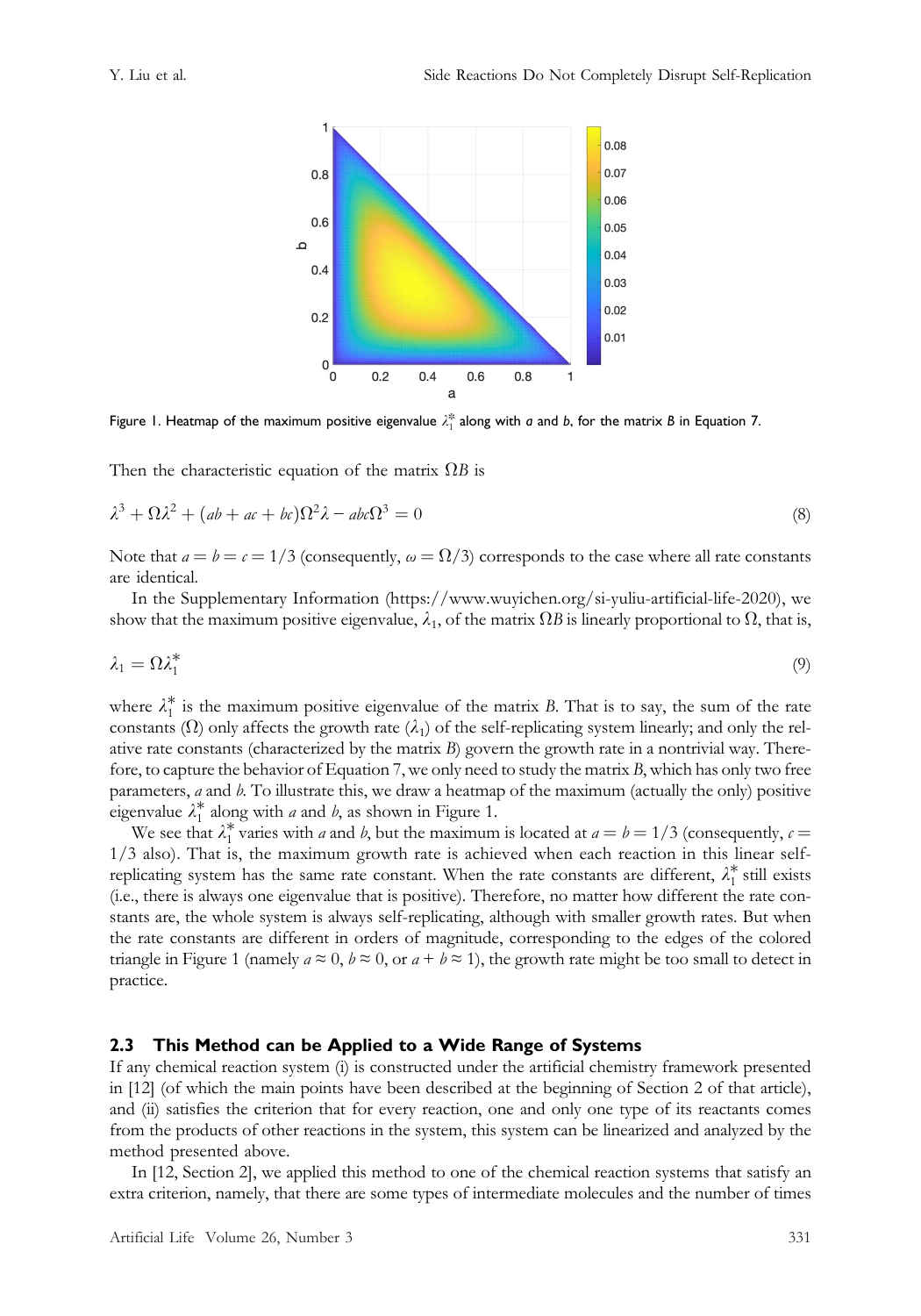

Figure 1. Heatmap of the maximum positive eigenvalue  $\lambda_1^*$  along with  $a$  and  $b$ , for the matrix  $B$  in Equation 7.

Then the characteristic equation of the matrix  $\Omega B$  is

$$
\lambda^3 + \Omega \lambda^2 + (ab + ac + bc)\Omega^2 \lambda - abc\Omega^3 = 0
$$
\n(8)

Note that  $a = b = c = 1/3$  (consequently,  $\omega = \Omega/3$ ) corresponds to the case where all rate constants are identical.

In the Supplementary Information (https://www.wuyichen.org/si-yuliu-artificial-life-2020), we show that the maximum positive eigenvalue,  $\lambda_1$ , of the matrix  $\Omega B$  is linearly proportional to  $\Omega$ , that is,

$$
\lambda_1 = \Omega \lambda_1^* \tag{9}
$$

where  $\lambda_1^*$  is the maximum positive eigenvalue of the matrix B. That is to say, the sum of the rate constants ( $\Omega$ ) only affects the growth rate ( $\lambda_1$ ) of the self-replicating system linearly; and only the relative rate constants (characterized by the matrix B) govern the growth rate in a nontrivial way. Therefore, to capture the behavior of Equation 7, we only need to study the matrix B, which has only two free parameters, a and b. To illustrate this, we draw a heatmap of the maximum (actually the only) positive eigenvalue  $\lambda_1^*$  along with *a* and *b*, as shown in Figure 1.

We see that  $\lambda_1^*$  varies with a and b, but the maximum is located at  $a = b = 1/3$  (consequently,  $c =$ 1/3 also). That is, the maximum growth rate is achieved when each reaction in this linear selfreplicating system has the same rate constant. When the rate constants are different,  $\lambda_1^*$  still exists (i.e., there is always one eigenvalue that is positive). Therefore, no matter how different the rate constants are, the whole system is always self-replicating, although with smaller growth rates. But when the rate constants are different in orders of magnitude, corresponding to the edges of the colored triangle in Figure 1 (namely  $a \approx 0$ ,  $b \approx 0$ , or  $a + b \approx 1$ ), the growth rate might be too small to detect in practice.

## 2.3 This Method can be Applied to a Wide Range of Systems

If any chemical reaction system (i) is constructed under the artificial chemistry framework presented in [12] (of which the main points have been described at the beginning of Section 2 of that article), and (ii) satisfies the criterion that for every reaction, one and only one type of its reactants comes from the products of other reactions in the system, this system can be linearized and analyzed by the method presented above.

In [12, Section 2], we applied this method to one of the chemical reaction systems that satisfy an extra criterion, namely, that there are some types of intermediate molecules and the number of times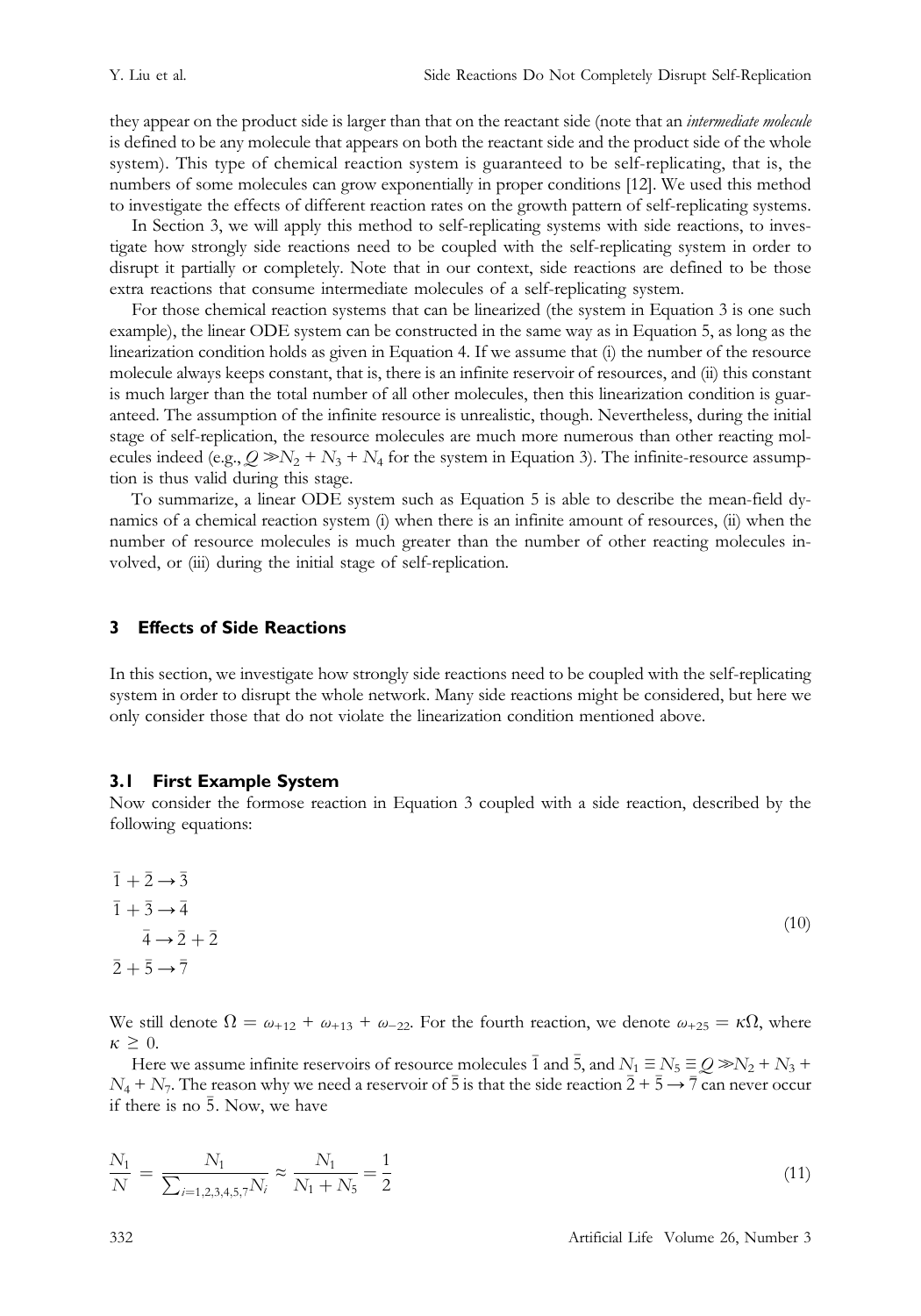they appear on the product side is larger than that on the reactant side (note that an *intermediate molecule* is defined to be any molecule that appears on both the reactant side and the product side of the whole system). This type of chemical reaction system is guaranteed to be self-replicating, that is, the numbers of some molecules can grow exponentially in proper conditions [12]. We used this method to investigate the effects of different reaction rates on the growth pattern of self-replicating systems.

In Section 3, we will apply this method to self-replicating systems with side reactions, to investigate how strongly side reactions need to be coupled with the self-replicating system in order to disrupt it partially or completely. Note that in our context, side reactions are defined to be those extra reactions that consume intermediate molecules of a self-replicating system.

For those chemical reaction systems that can be linearized (the system in Equation 3 is one such example), the linear ODE system can be constructed in the same way as in Equation 5, as long as the linearization condition holds as given in Equation 4. If we assume that (i) the number of the resource molecule always keeps constant, that is, there is an infinite reservoir of resources, and (ii) this constant is much larger than the total number of all other molecules, then this linearization condition is guaranteed. The assumption of the infinite resource is unrealistic, though. Nevertheless, during the initial stage of self-replication, the resource molecules are much more numerous than other reacting molecules indeed (e.g.,  $Q \gg N_2 + N_3 + N_4$  for the system in Equation 3). The infinite-resource assumption is thus valid during this stage.

To summarize, a linear ODE system such as Equation 5 is able to describe the mean-field dynamics of a chemical reaction system (i) when there is an infinite amount of resources, (ii) when the number of resource molecules is much greater than the number of other reacting molecules involved, or (iii) during the initial stage of self-replication.

# 3 Effects of Side Reactions

In this section, we investigate how strongly side reactions need to be coupled with the self-replicating system in order to disrupt the whole network. Many side reactions might be considered, but here we only consider those that do not violate the linearization condition mentioned above.

### 3.1 First Example System

Now consider the formose reaction in Equation 3 coupled with a side reaction, described by the following equations:

$$
\overline{1} + \overline{2} \rightarrow \overline{3}
$$
\n
$$
\overline{1} + \overline{3} \rightarrow \overline{4}
$$
\n
$$
\overline{4} \rightarrow \overline{2} + \overline{2}
$$
\n
$$
\overline{2} + \overline{5} \rightarrow \overline{7}
$$
\n(10)

We still denote  $\Omega = \omega_{+12} + \omega_{+13} + \omega_{-22}$ . For the fourth reaction, we denote  $\omega_{+25} = \kappa \Omega$ , where  $\kappa \geq 0$ .

Here we assume infinite reservoirs of resource molecules  $\overline{1}$  and  $\overline{5}$ , and  $N_1 \equiv N_5 \equiv Q \gg N_2 + N_3 +$  $N_4 + N_7$ . The reason why we need a reservoir of  $\overline{5}$  is that the side reaction  $\overline{2} + \overline{5} \rightarrow \overline{7}$  can never occur if there is no  $\overline{5}$ . Now, we have

$$
\frac{N_1}{N} = \frac{N_1}{\sum_{i=1,2,3,4,5,7} N_i} \approx \frac{N_1}{N_1 + N_5} = \frac{1}{2}
$$
\n(11)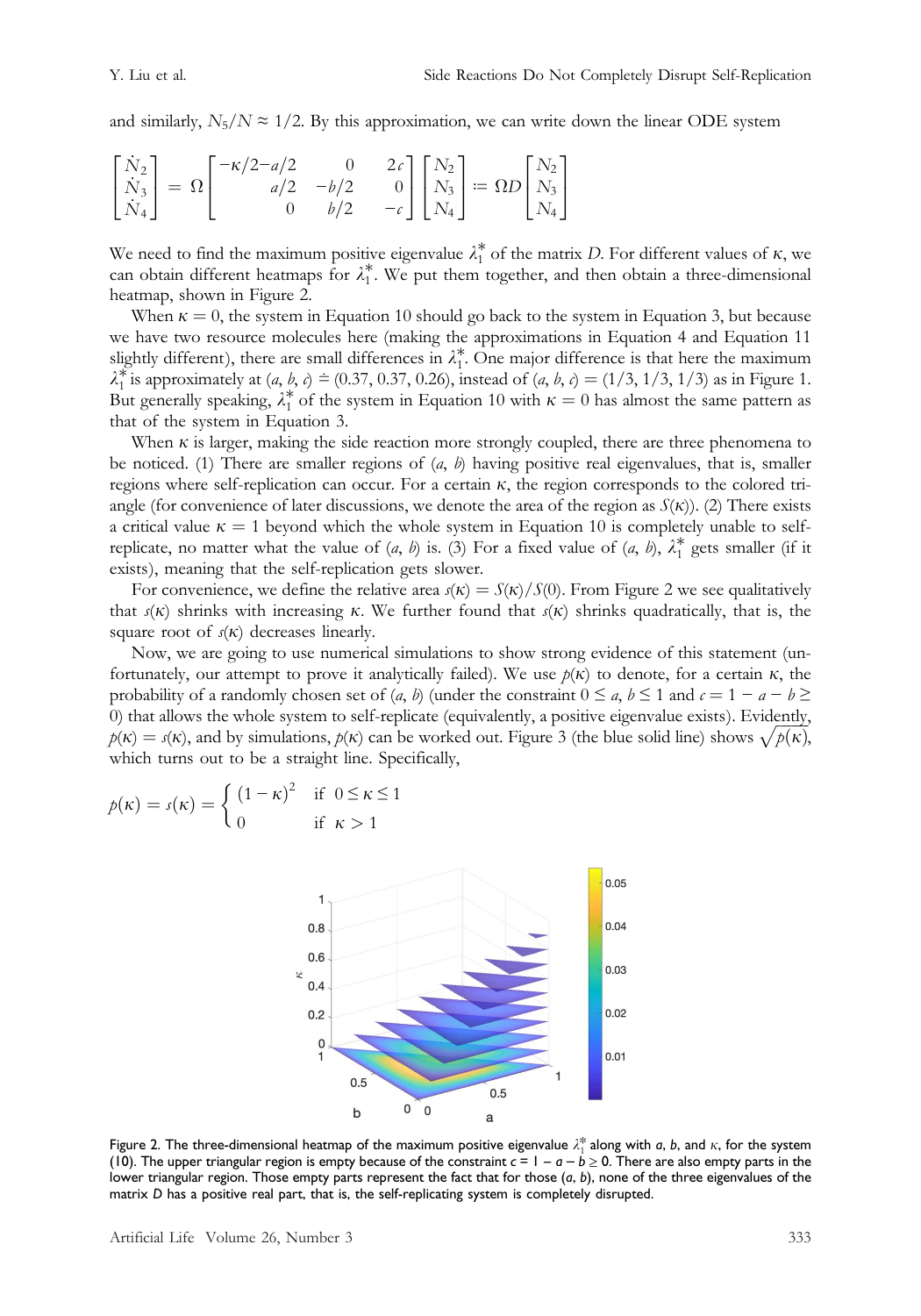and similarly,  $N_5/N \approx 1/2$ . By this approximation, we can write down the linear ODE system

$$
\begin{bmatrix} \dot{N}_2 \\ \dot{N}_3 \\ \dot{N}_4 \end{bmatrix} = \Omega \begin{bmatrix} -\kappa/2 - a/2 & 0 & 2\epsilon \\ a/2 & -b/2 & 0 \\ 0 & b/2 & -\epsilon \end{bmatrix} \begin{bmatrix} N_2 \\ N_3 \\ N_4 \end{bmatrix} := \Omega D \begin{bmatrix} N_2 \\ N_3 \\ N_4 \end{bmatrix}
$$

We need to find the maximum positive eigenvalue  $\lambda_1^*$  of the matrix D. For different values of  $\kappa$ , we can obtain different heatmaps for  $\lambda_1^*$ . We put them together, and then obtain a three-dimensional heatmap, shown in Figure 2.

When  $\kappa = 0$ , the system in Equation 10 should go back to the system in Equation 3, but because we have two resource molecules here (making the approximations in Equation 4 and Equation 11 slightly different), there are small differences in  $\lambda_1^*$ . One major difference is that here the maximum  $\lambda_1^*$  is approximately at  $(a, b, c) = (0.37, 0.37, 0.26)$ , instead of  $(a, b, c) = (1/3, 1/3, 1/3)$  as in Figure 1. But generally speaking,  $\lambda_1^*$  of the system in Equation 10 with  $\kappa = 0$  has almost the same pattern as that of the system in Equation 3.

When  $\kappa$  is larger, making the side reaction more strongly coupled, there are three phenomena to be noticed. (1) There are smaller regions of  $(a, b)$  having positive real eigenvalues, that is, smaller regions where self-replication can occur. For a certain  $\kappa$ , the region corresponds to the colored triangle (for convenience of later discussions, we denote the area of the region as  $S(\kappa)$ ). (2) There exists a critical value  $\kappa = 1$  beyond which the whole system in Equation 10 is completely unable to selfreplicate, no matter what the value of  $(a, b)$  is. (3) For a fixed value of  $(a, b)$ ,  $\lambda_1^*$  gets smaller (if it exists), meaning that the self-replication gets slower.

For convenience, we define the relative area  $s(k) = S(k)/S(0)$ . From Figure 2 we see qualitatively that  $s(k)$  shrinks with increasing  $k$ . We further found that  $s(k)$  shrinks quadratically, that is, the square root of  $s(\kappa)$  decreases linearly.

Now, we are going to use numerical simulations to show strong evidence of this statement (unfortunately, our attempt to prove it analytically failed). We use  $p(K)$  to denote, for a certain  $K$ , the probability of a randomly chosen set of (a, b) (under the constraint  $0 \le a, b \le 1$  and  $c = 1 - a - b \ge$ 0) that allows the whole system to self-replicate (equivalently, a positive eigenvalue exists). Evidently,  $p(k) = s(k)$ , and by simulations,  $p(k)$  can be worked out. Figure 3 (the blue solid line) shows  $\sqrt{p(k)}$ , which turns out to be a straight line. Specifically,

$$
p(\kappa) = s(\kappa) = \begin{cases} (1 - \kappa)^2 & \text{if } 0 \le \kappa \le 1 \\ 0 & \text{if } \kappa > 1 \end{cases}
$$



Figure 2. The three-dimensional heatmap of the maximum positive eigenvalue  $\lambda_1^*$  along with a, b, and  $\kappa$ , for the system (10). The upper triangular region is empty because of the constraint  $c = 1 - a - b \ge 0$ . There are also empty parts in the lower triangular region. Those empty parts represent the fact that for those  $(a, b)$ , none of the three eigenvalues of the matrix D has a positive real part, that is, the self-replicating system is completely disrupted.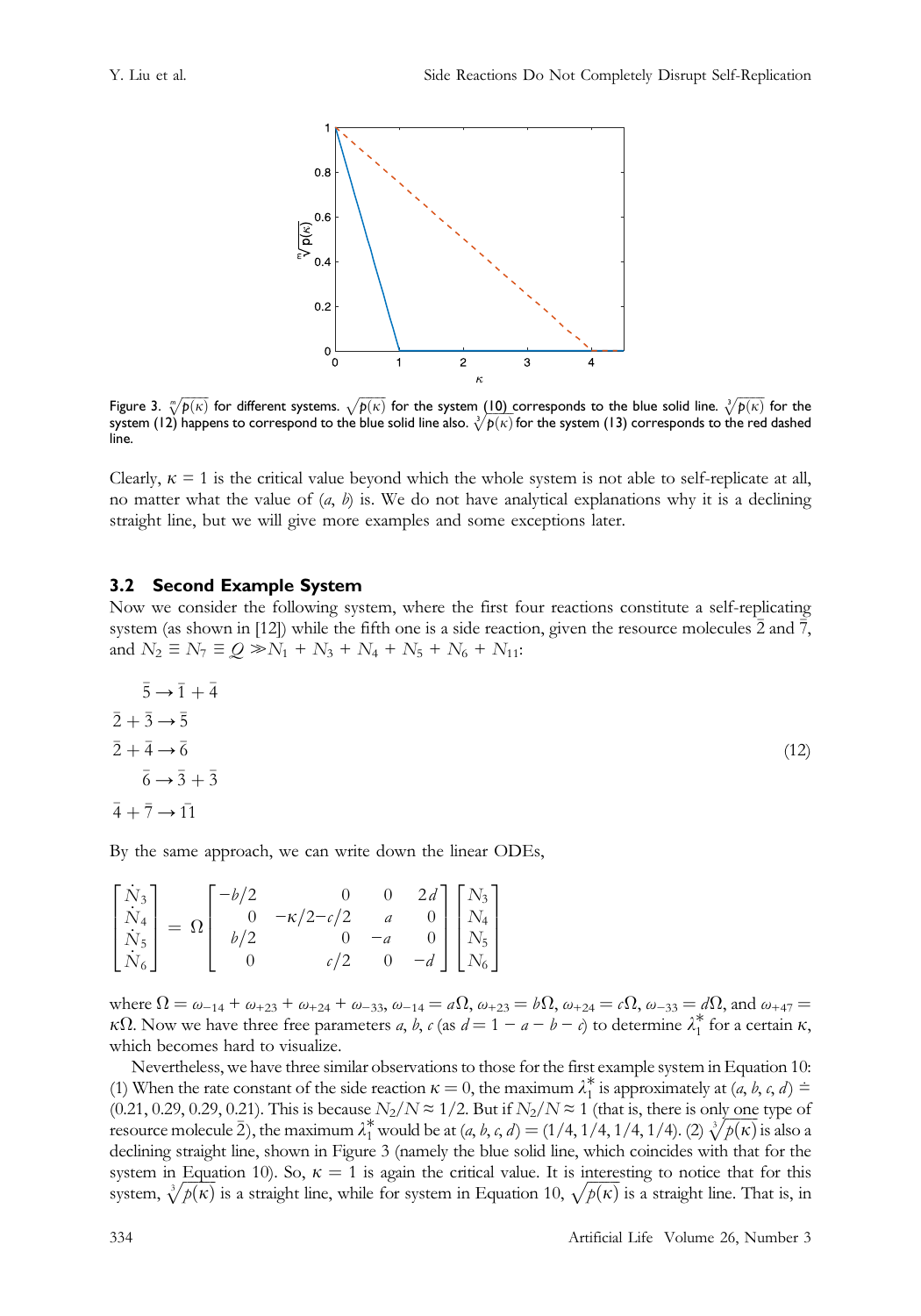

Figure 3.  $\sqrt[p]{p(\kappa)}$  for different systems.  $\sqrt{p(\kappa)}$  for the system (10) corresponds to the blue solid line.  $\sqrt[3]{p(\kappa)}$  for the system (12) happens to correspond to the blue solid line also.  $\sqrt[3]{p(\kappa)}$  for the system (13) corresponds to the red dashed line.

Clearly,  $\kappa = 1$  is the critical value beyond which the whole system is not able to self-replicate at all, no matter what the value of  $(a, b)$  is. We do not have analytical explanations why it is a declining straight line, but we will give more examples and some exceptions later.

## 3.2 Second Example System

Now we consider the following system, where the first four reactions constitute a self-replicating system (as shown in [12]) while the fifth one is a side reaction, given the resource molecules  $\overline{2}$  and  $\overline{7}$ , and  $N_2 \equiv N_7 \equiv Q \gg N_1 + N_3 + N_4 + N_5 + N_6 + N_{11}$ :

$$
\begin{aligned}\n\bar{5} &\rightarrow \bar{1} + \bar{4} \\
\bar{2} + \bar{3} &\rightarrow \bar{5} \\
\bar{2} + \bar{4} &\rightarrow \bar{6} \\
\bar{6} &\rightarrow \bar{3} + \bar{3}\n\end{aligned}
$$
\n(12)\n  
\n
$$
\bar{4} + \bar{7} &\rightarrow \bar{11}
$$

By the same approach, we can write down the linear ODEs,

| $\begin{bmatrix} \dot{N}_3 \\ \dot{N}_4 \\ \dot{N}_5 \\ \dot{N}_6 \end{bmatrix} = \Omega \begin{bmatrix} -b/2 & 0 & 0 & 2d \\ 0 & -\kappa/2 - c/2 & a & 0 \\ b/2 & 0 & -a & 0 \\ 0 & c/2 & 0 & -d \end{bmatrix} \begin{bmatrix} N_3 \\ N_4 \\ N_5 \\ N_6 \end{bmatrix}$ |  |  |  |
|-------------------------------------------------------------------------------------------------------------------------------------------------------------------------------------------------------------------------------------------------------------------------|--|--|--|

where  $\Omega = \omega_{-14} + \omega_{+23} + \omega_{+24} + \omega_{-33}$ ,  $\omega_{-14} = a\Omega$ ,  $\omega_{+23} = b\Omega$ ,  $\omega_{+24} = c\Omega$ ,  $\omega_{-33} = d\Omega$ , and  $\omega_{+47} = d\Omega$  $\kappa \Omega$ . Now we have three free parameters a, b, c (as  $d = 1 - a - b - c$ ) to determine  $\lambda_1^*$  for a certain  $\kappa$ , which becomes hard to visualize.

Nevertheless, we have three similar observations to those for the first example system in Equation 10: (1) When the rate constant of the side reaction  $\kappa = 0$ , the maximum  $\lambda_1^*$  is approximately at  $(a, b, c, d)$  = (0.21, 0.29, 0.29, 0.21). This is because  $N_2/N \approx 1/2$ . But if  $N_2/N \approx 1$  (that is, there is only one type of resource molecule  $\bar{2}$ ), the maximum  $\lambda_1^*$  would be at  $(a, b, c, d) = (1/4, 1/4, 1/4, 1/4)$ . (2)  $\sqrt[3]{p(\kappa)}$  is also a declining straight line, shown in Figure 3 (namely the blue solid line, which coincides with that for the system in Equation 10). So,  $\kappa = 1$  is again the critical value. It is interesting to notice that for this system,  $\sqrt[3]{p(\kappa)}$  is a straight line, while for system in Equation 10,  $\sqrt{p(\kappa)}$  is a straight line. That is, in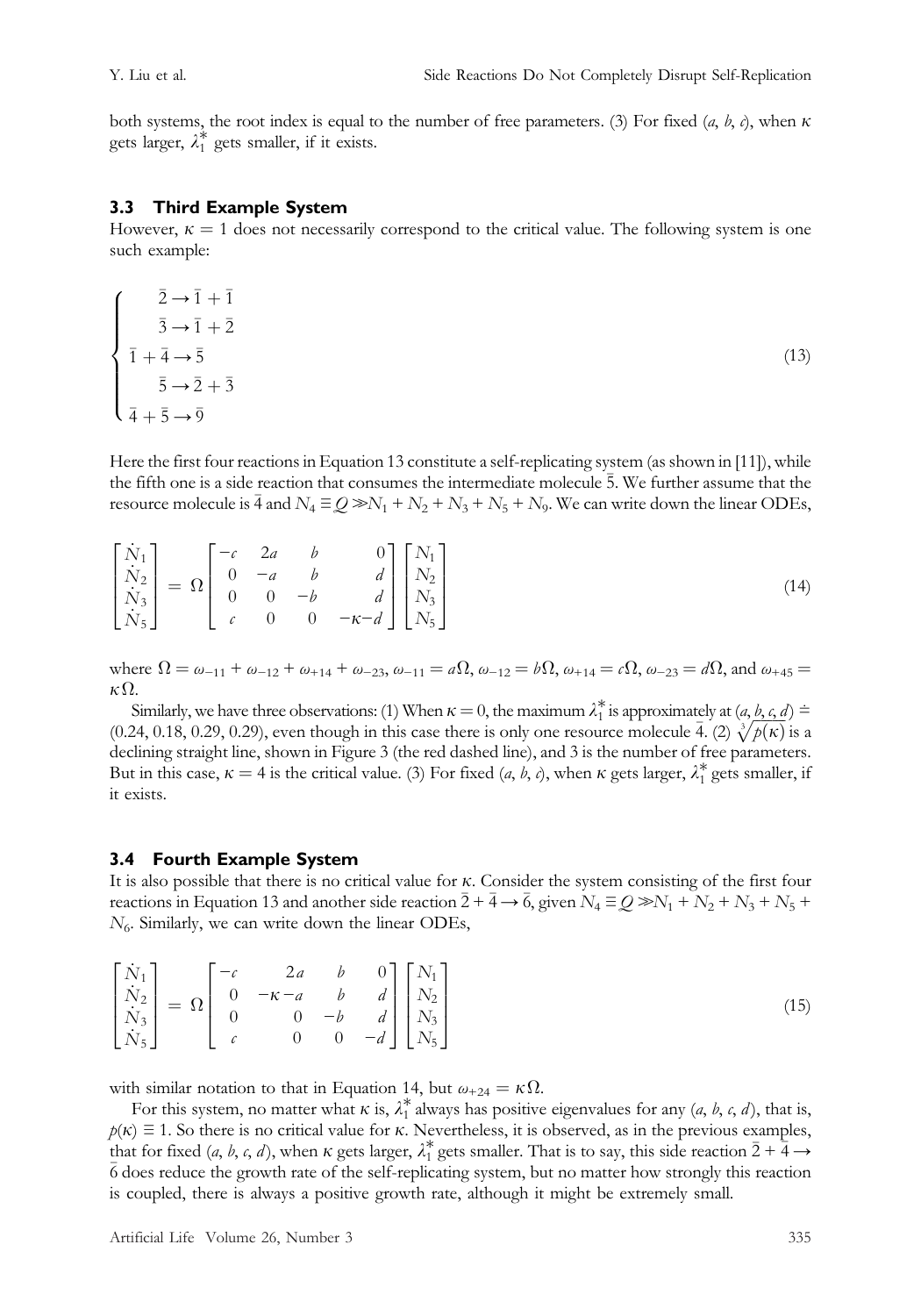both systems, the root index is equal to the number of free parameters. (3) For fixed  $(a, b, c)$ , when  $\kappa$ gets larger,  $\lambda_1^*$  gets smaller, if it exists.

#### 3.3 Third Example System

However,  $\kappa = 1$  does not necessarily correspond to the critical value. The following system is one such example:

$$
\begin{cases}\n\overline{2} \rightarrow \overline{1} + \overline{1} \\
\overline{3} \rightarrow \overline{1} + \overline{2} \\
\overline{1} + \overline{4} \rightarrow \overline{5} \\
\overline{5} \rightarrow \overline{2} + \overline{3} \\
\overline{4} + \overline{5} \rightarrow \overline{9}\n\end{cases}
$$
\n(13)

Here the first four reactions in Equation 13 constitute a self-replicating system (as shown in [11]), while the fifth one is a side reaction that consumes the intermediate molecule 5. We further assume that the resource molecule is 4 and  $N_4 \equiv Q \gg N_1 + N_2 + N_3 + N_5 + N_9$ . We can write down the linear ODEs,

$$
\begin{bmatrix} \dot{N}_1 \\ \dot{N}_2 \\ \dot{N}_3 \\ \dot{N}_5 \end{bmatrix} = \Omega \begin{bmatrix} -c & 2a & b & 0 \\ 0 & -a & b & d \\ 0 & 0 & -b & d \\ c & 0 & 0 & -\kappa - d \end{bmatrix} \begin{bmatrix} N_1 \\ N_2 \\ N_3 \\ N_3 \end{bmatrix}
$$
 (14)

where  $\Omega = \omega_{-11} + \omega_{-12} + \omega_{+14} + \omega_{-23}$ ,  $\omega_{-11} = a\Omega$ ,  $\omega_{-12} = b\Omega$ ,  $\omega_{+14} = c\Omega$ ,  $\omega_{-23} = d\Omega$ , and  $\omega_{+45} =$  $\kappa\Omega$ .

Similarly, we have three observations: (1) When  $\kappa = 0$ , the maximum  $\lambda_1^*$  is approximately at  $(a, b, c, d) =$ (0.24, 0.18, 0.29, 0.29), even though in this case there is only one resource molecule  $\frac{1}{4}$ . (2)  $\sqrt[3]{p(k)}$  is a declining straight line, shown in Figure 3 (the red dashed line), and 3 is the number of free parameters. But in this case,  $\kappa = 4$  is the critical value. (3) For fixed (*a*, *b*, *c*), when  $\kappa$  gets larger,  $\lambda_1^*$  gets smaller, if it exists.

#### 3.4 Fourth Example System

It is also possible that there is no critical value for  $\kappa$ . Consider the system consisting of the first four reactions in Equation 13 and another side reaction  $\overline{2} + \overline{4} \rightarrow \overline{6}$ , given  $N_4 \equiv Q \gg N_1 + N_2 + N_3 + N_5 +$  $N<sub>6</sub>$ . Similarly, we can write down the linear ODEs,

$$
\begin{bmatrix} \dot{N}_1\\ \dot{N}_2\\ \dot{N}_3\\ \dot{N}_5 \end{bmatrix} = \Omega \begin{bmatrix} -c & 2a & b & 0\\ 0 & -\kappa - a & b & d\\ 0 & 0 & -b & d\\ c & 0 & 0 & -d \end{bmatrix} \begin{bmatrix} N_1\\ N_2\\ N_3\\ N_5 \end{bmatrix}
$$
(15)

with similar notation to that in Equation 14, but  $\omega_{+24} = \kappa \Omega$ .

For this system, no matter what  $\kappa$  is,  $\lambda_1^*$  always has positive eigenvalues for any  $(a, b, c, d)$ , that is,  $p(k) \equiv 1$ . So there is no critical value for  $k$ . Nevertheless, it is observed, as in the previous examples, that for fixed (*a*, *b*, *c*, *d*), when *k* gets larger,  $\lambda_1^*$  gets smaller. That is to say, this side reaction  $\bar{2} + \bar{4} \rightarrow \bar{6}$  does reduce the growth rate of the self-replicating system, but no matter how stron is coupled, there is always a positive growth rate, although it might be extremely small.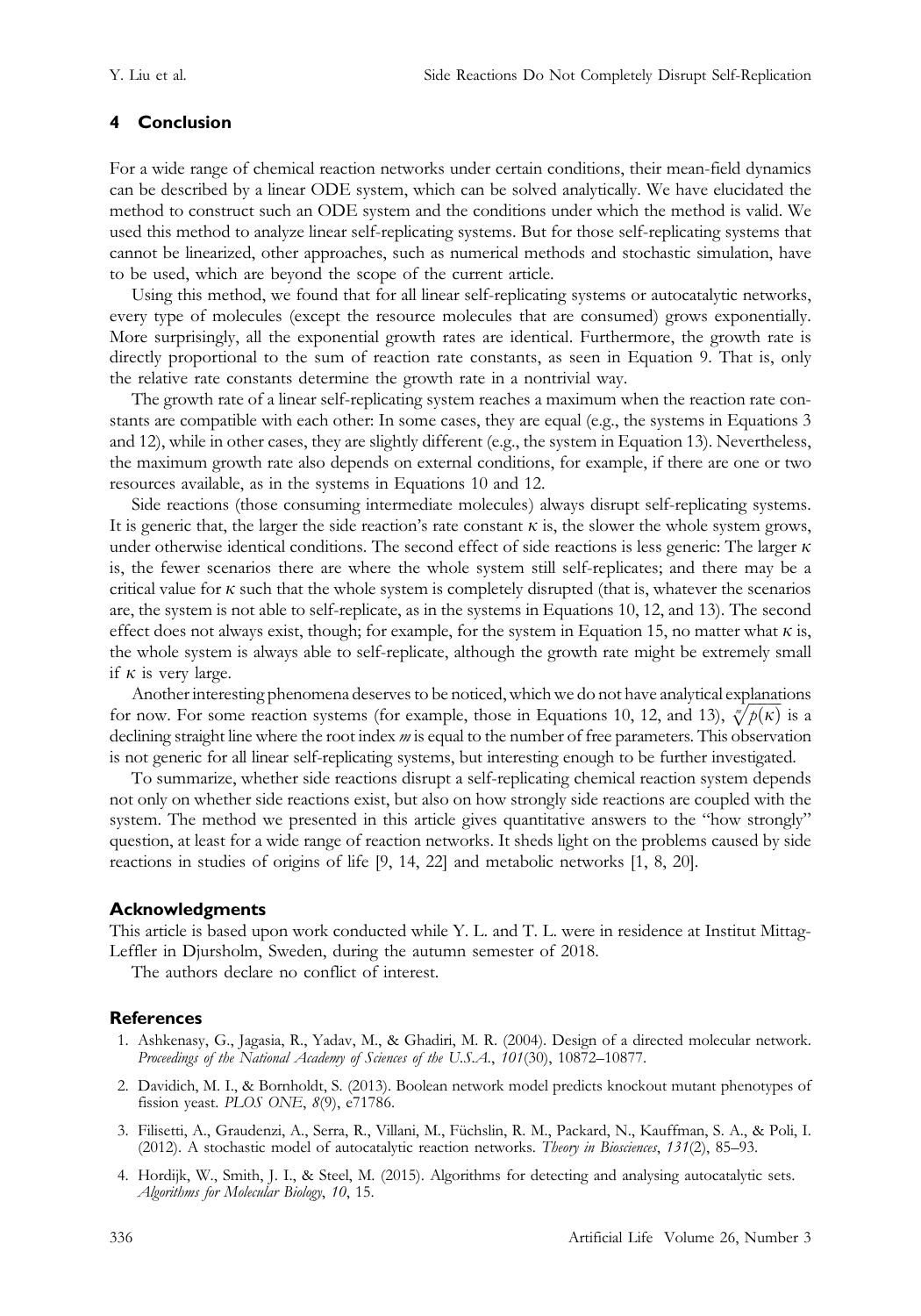## 4 Conclusion

For a wide range of chemical reaction networks under certain conditions, their mean-field dynamics can be described by a linear ODE system, which can be solved analytically. We have elucidated the method to construct such an ODE system and the conditions under which the method is valid. We used this method to analyze linear self-replicating systems. But for those self-replicating systems that cannot be linearized, other approaches, such as numerical methods and stochastic simulation, have to be used, which are beyond the scope of the current article.

Using this method, we found that for all linear self-replicating systems or autocatalytic networks, every type of molecules (except the resource molecules that are consumed) grows exponentially. More surprisingly, all the exponential growth rates are identical. Furthermore, the growth rate is directly proportional to the sum of reaction rate constants, as seen in Equation 9. That is, only the relative rate constants determine the growth rate in a nontrivial way.

The growth rate of a linear self-replicating system reaches a maximum when the reaction rate constants are compatible with each other: In some cases, they are equal (e.g., the systems in Equations 3 and 12), while in other cases, they are slightly different (e.g., the system in Equation 13). Nevertheless, the maximum growth rate also depends on external conditions, for example, if there are one or two resources available, as in the systems in Equations 10 and 12.

Side reactions (those consuming intermediate molecules) always disrupt self-replicating systems. It is generic that, the larger the side reaction's rate constant  $\kappa$  is, the slower the whole system grows, under otherwise identical conditions. The second effect of side reactions is less generic: The larger  $\kappa$ is, the fewer scenarios there are where the whole system still self-replicates; and there may be a critical value for  $\kappa$  such that the whole system is completely disrupted (that is, whatever the scenarios are, the system is not able to self-replicate, as in the systems in Equations 10, 12, and 13). The second effect does not always exist, though; for example, for the system in Equation 15, no matter what  $\kappa$  is, the whole system is always able to self-replicate, although the growth rate might be extremely small if  $\kappa$  is very large.

Another interesting phenomena deserves to be noticed, which we do not have analytical explanations for now. For some reaction systems (for example, those in Equations 10, 12, and 13),  $\sqrt[n]{p(\kappa)}$  is a declining straight line where the root index m is equal to the number of free parameters. This observation is not generic for all linear self-replicating systems, but interesting enough to be further investigated.

To summarize, whether side reactions disrupt a self-replicating chemical reaction system depends not only on whether side reactions exist, but also on how strongly side reactions are coupled with the system. The method we presented in this article gives quantitative answers to the "how strongly" question, at least for a wide range of reaction networks. It sheds light on the problems caused by side reactions in studies of origins of life [9, 14, 22] and metabolic networks [1, 8, 20].

### Acknowledgments

This article is based upon work conducted while Y. L. and T. L. were in residence at Institut Mittag-Leffler in Djursholm, Sweden, during the autumn semester of 2018.

The authors declare no conflict of interest.

## **References**

- 1. Ashkenasy, G., Jagasia, R., Yadav, M., & Ghadiri, M. R. (2004). Design of a directed molecular network. Proceedings of the National Academy of Sciences of the U.S.A., 101(30), 10872–10877.
- 2. Davidich, M. I., & Bornholdt, S. (2013). Boolean network model predicts knockout mutant phenotypes of fission yeast. PLOS ONE, 8(9), e71786.
- 3. Filisetti, A., Graudenzi, A., Serra, R., Villani, M., Füchslin, R. M., Packard, N., Kauffman, S. A., & Poli, I. (2012). A stochastic model of autocatalytic reaction networks. Theory in Biosciences, 131(2), 85–93.
- 4. Hordijk, W., Smith, J. I., & Steel, M. (2015). Algorithms for detecting and analysing autocatalytic sets. Algorithms for Molecular Biology, 10, 15.